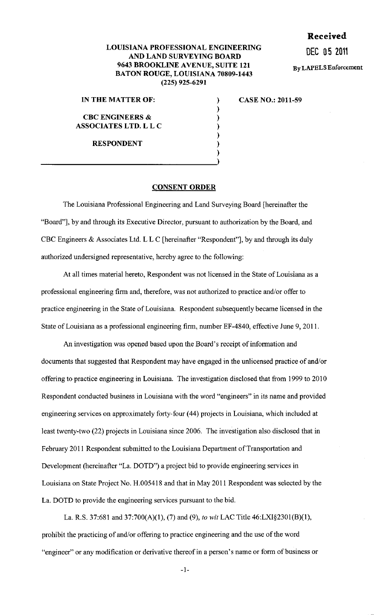## **Received**

DEC 0 5 2011

By LAPELS Enforcement

## LOUISIANA PROFESSIONAL ENGINEERING AND LAND SURVEYING BOARD 9643 BROOKLINE AVENUE, SUITE 121 BATON ROUGE, LOUISIANA 70809-1443 (225) 925-6291

) ) ) ) ) ) )

IN THE MATTER OF:

CBC ENGINEERS & ASSOCIATES LTD. L L C

RESPONDENT

CASE NO.: 2011-59

## CONSENT ORDER

The Louisiana Professional Engineering and Land Surveying Board [hereinafter the "Board"], by and through its Executive Director, pursuant to authorization by the Board, and CBC Engineers & Associates Ltd. L L C [hereinafter "Respondent"], by and through its duly authorized undersigned representative, hereby agree to the following:

At all times material hereto, Respondent was not licensed in the State of Louisiana as a professional engineering firm and, therefore, was not authorized to practice and/or offer to practice engineering in the State of Louisiana. Respondent subsequently became licensed in the State of Louisiana as a professional engineering firm, number EF-4840, effective June 9, 2011.

An investigation was opened based upon the Board's receipt of information and documents that suggested that Respondent may have engaged in the unlicensed practice of and/or offering to practice engineering in Louisiana. The investigation disclosed that from 1999 to 2010 Respondent conducted business in Louisiana with the word "engineers" in its name and provided engineering services on approximately forty-four (44) projects in Louisiana, which included at least twenty-two (22) projects in Louisiana since 2006. The investigation also disclosed that in February 2011 Respondent submitted to the Louisiana Department of Transportation and Development (hereinafter "La. DOTD") a project bid to provide engineering services in Louisiana on State Project No. H.005418 and that in May 2011 Respondent was selected by the La. DOTD to provide the engineering services pursuant to the bid.

La. R.S. 37:681 and 37:700(A)(l), (7) and (9), *to* wit LAC Title 46:LX1§2301(B)(1), prohibit the practicing of and/or offering to practice engineering and the use of the word "engineer" or any modification or derivative thereof in a person's name or form of business or

-I-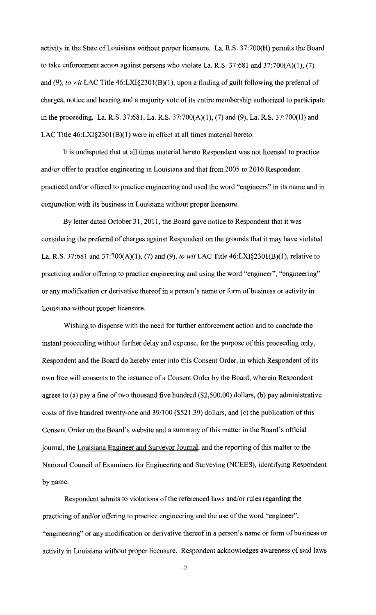activity in the State of Louisiana without proper licensure. La. R.S. 37:700(H) permits the Board to take enforcement action against persons who violate La. R.S.  $37:681$  and  $37:700(A)(1)$ , (7) and (9), *to wit* LAC Title 46:LXI§2301(B)(l), upon a finding of guilt following the preferral of charges, notice and hearing and a majority vote of its entire membership authorized to participate in the proceeding. La. R.S. 37:681, La. R.S. 37:700(A)(l), (7) and (9), La. R.S. 37:700(H) and LAC Title 46:LXI§2301(B)(1) were in effect at all times material hereto.

It is undisputed that at all times material hereto Respondent was not licensed to practice and/or offer to practice engineering in Louisiana and that from 2005 to 2010 Respondent practiced and/or offered to practice engineering and used the word "engineers" in its name and in conjunction with its business in Louisiana without proper licensure.

By letter dated October 31, 2011, the Board gave notice to Respondent that it was considering the preferral of charges against Respondent on the grounds that it may have violated La. R.S. 37:681 and 37:700(A)(l), (7) and (9), *to wit* LAC Title 46:LXI§230l(B)(l), relative to practicing and/or offering to practice engineering and using the word "engineer", "engineering" or any modification or derivative thereof in a person's name or form of business or activity in Louisiana without proper licensure.

Wishing to dispense with the need for further enforcement action and to conclude the instant proceeding without further delay and expense, for the purpose of this proceeding only, Respondent and the Board do hereby enter into this Consent Order, in which Respondent of its own free will consents to the issuance of a Consent Order by the Board, wherein Respondent agrees to (a) pay a fine of two thousand five hundred (\$2,500.00) dollars, (b) pay administrative costs of five hundred twenty-one and 39/100 (\$521.39) dollars, and (c) the publication of this Consent Order on the Board's website and a summary of this matter in the Board's official journal, the Louisiana Engineer and Surveyor Journal, and the reporting of this matter to the National Council of Examiners for Engineering and Surveying (NCEES), identifying Respondent by name.

Respondent admits to violations of the referenced laws and/or rules regarding the practicing of and/or offering to practice engineering and the use of the word "engineer", "engineering" or any modification or derivative thereof in a person's name or form of business or activity in Louisiana without proper licensure. Respondent acknowledges awareness of said laws

-2-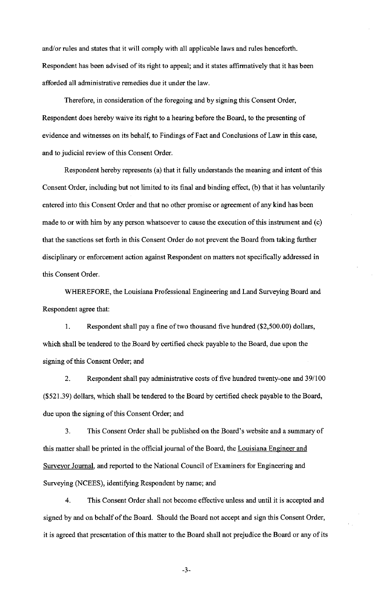and/or rules and states that it will comply with all applicable laws and rules henceforth. Respondent has been advised of its right to appeal; and it states affirmatively that it has been afforded all administrative remedies due it under the law.

Therefore, in consideration of the foregoing and by signing this Consent Order, Respondent does hereby waive its right to a hearing before the Board, to the presenting of evidence and witnesses on its behalf, to Findings of Fact and Conclusions of Law in this case, and to judicial review of this Consent Order.

Respondent hereby represents (a) that it fully understands the meaning and intent of this Consent Order, including but not limited to its final and binding effect, (b) that it has voluntarily entered into this Consent Order and that no other promise or agreement of any kind has been made to or with him by any person whatsoever to cause the execution of this instrument and (c) that the sanctions set forth in this Consent Order do not prevent the Board from taking further disciplinary or enforcement action against Respondent on matters not specifically addressed in this Consent Order.

WHEREFORE, the Louisiana Professional Engineering and Land Surveying Board and Respondent agree that:

1. Respondent shall pay a fine of two thousand five hundred (\$2,500.00) dollars, which shall be tendered to the Board by certified check payable to the Board, due upon the signing of this Consent Order; and

2. Respondent shall pay administrative costs of five hundred twenty-one and 39/100 (\$521.39) dollars, which shall be tendered to the Board by certified check payable to the Board, due upon the signing of this Consent Order; and

3. This Consent Order shall be published on the Board's website and a summary of this matter shall be printed in the official journal of the Board, the Louisiana Engineer and Surveyor Journal, and reported to the National Council of Examiners for Engineering and Surveying (NCEES), identifying Respondent by name; and

4. This Consent Order shall not become effective unless and until it is accepted and signed by and on behalf of the Board. Should the Board not accept and sign this Consent Order, it is agreed that presentation of this matter to the Board shall not prejudice the Board or any of its

-3-